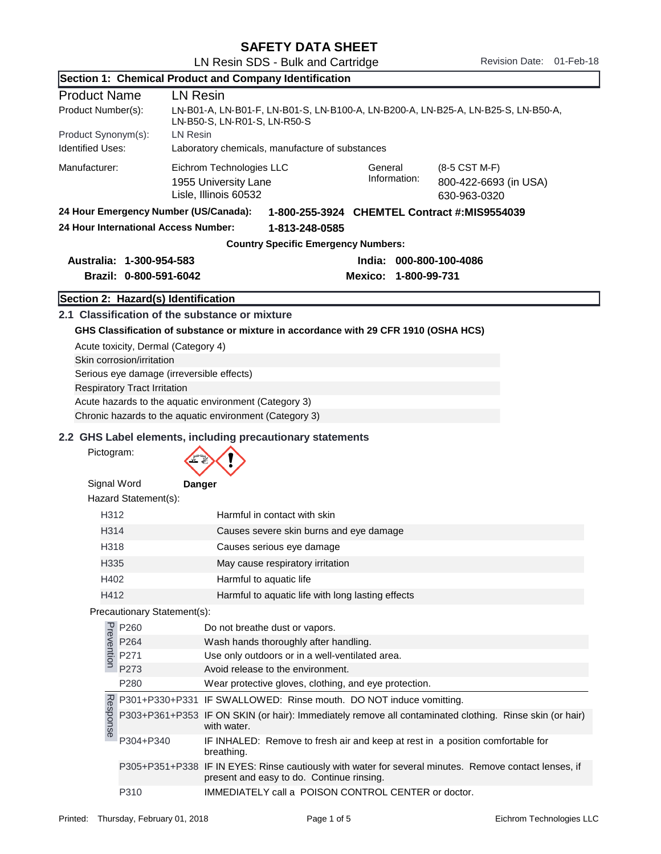| <b>SAFETY DATA SHEET</b> |  |
|--------------------------|--|
|--------------------------|--|

|                                                                                                                                         |                                                                                                                                                      | Section 1: Chemical Product and Company Identification                                                                                                                                          |  |
|-----------------------------------------------------------------------------------------------------------------------------------------|------------------------------------------------------------------------------------------------------------------------------------------------------|-------------------------------------------------------------------------------------------------------------------------------------------------------------------------------------------------|--|
| <b>Product Name</b>                                                                                                                     |                                                                                                                                                      | <b>LN Resin</b>                                                                                                                                                                                 |  |
| Product Number(s):<br>LN-B01-A, LN-B01-F, LN-B01-S, LN-B100-A, LN-B200-A, LN-B25-A, LN-B25-S, LN-B50-A,<br>LN-B50-S, LN-R01-S, LN-R50-S |                                                                                                                                                      |                                                                                                                                                                                                 |  |
| Product Synonym(s):<br>LN Resin                                                                                                         |                                                                                                                                                      |                                                                                                                                                                                                 |  |
| <b>Identified Uses:</b><br>Laboratory chemicals, manufacture of substances                                                              |                                                                                                                                                      |                                                                                                                                                                                                 |  |
| Manufacturer:                                                                                                                           |                                                                                                                                                      | Eichrom Technologies LLC<br>General<br>(8-5 CST M-F)<br>Information:<br>1955 University Lane<br>800-422-6693 (in USA)<br>Lisle, Illinois 60532<br>630-963-0320                                  |  |
|                                                                                                                                         | 24 Hour Emergency Number (US/Canada):                                                                                                                | 1-800-255-3924 CHEMTEL Contract #:MIS9554039                                                                                                                                                    |  |
|                                                                                                                                         | 24 Hour International Access Number:                                                                                                                 | 1-813-248-0585                                                                                                                                                                                  |  |
|                                                                                                                                         |                                                                                                                                                      | <b>Country Specific Emergency Numbers:</b>                                                                                                                                                      |  |
|                                                                                                                                         | Australia: 1-300-954-583                                                                                                                             | India: 000-800-100-4086                                                                                                                                                                         |  |
|                                                                                                                                         | Brazil: 0-800-591-6042                                                                                                                               | Mexico: 1-800-99-731                                                                                                                                                                            |  |
|                                                                                                                                         | Section 2: Hazard(s) Identification                                                                                                                  |                                                                                                                                                                                                 |  |
|                                                                                                                                         | Acute toxicity, Dermal (Category 4)<br>Skin corrosion/irritation<br>Serious eye damage (irreversible effects)<br><b>Respiratory Tract Irritation</b> | 2.1 Classification of the substance or mixture<br>GHS Classification of substance or mixture in accordance with 29 CFR 1910 (OSHA HCS)<br>Acute hazards to the aquatic environment (Category 3) |  |
|                                                                                                                                         |                                                                                                                                                      | Chronic hazards to the aquatic environment (Category 3)                                                                                                                                         |  |
|                                                                                                                                         |                                                                                                                                                      | 2.2 GHS Label elements, including precautionary statements                                                                                                                                      |  |
| Pictogram:                                                                                                                              |                                                                                                                                                      |                                                                                                                                                                                                 |  |
| Signal Word                                                                                                                             | Hazard Statement(s):                                                                                                                                 | Danger                                                                                                                                                                                          |  |
| H312                                                                                                                                    |                                                                                                                                                      | Harmful in contact with skin                                                                                                                                                                    |  |
| H314                                                                                                                                    |                                                                                                                                                      | Causes severe skin burns and eye damage                                                                                                                                                         |  |
| H318                                                                                                                                    |                                                                                                                                                      | Causes serious eye damage                                                                                                                                                                       |  |
| H335                                                                                                                                    |                                                                                                                                                      | May cause respiratory irritation                                                                                                                                                                |  |
| H402                                                                                                                                    |                                                                                                                                                      | Harmful to aquatic life                                                                                                                                                                         |  |
| H412                                                                                                                                    |                                                                                                                                                      | Harmful to aquatic life with long lasting effects                                                                                                                                               |  |
|                                                                                                                                         | Precautionary Statement(s):                                                                                                                          |                                                                                                                                                                                                 |  |
|                                                                                                                                         |                                                                                                                                                      | Do not breathe dust or vapors.                                                                                                                                                                  |  |
|                                                                                                                                         | P260<br>P264<br>P271<br>P271<br>P273                                                                                                                 | Wash hands thoroughly after handling.                                                                                                                                                           |  |
|                                                                                                                                         |                                                                                                                                                      | Use only outdoors or in a well-ventilated area.                                                                                                                                                 |  |
|                                                                                                                                         | P273                                                                                                                                                 | Avoid release to the environment.                                                                                                                                                               |  |
|                                                                                                                                         | P280                                                                                                                                                 | Wear protective gloves, clothing, and eye protection.                                                                                                                                           |  |
|                                                                                                                                         |                                                                                                                                                      | P301+P330+P331 IF SWALLOWED: Rinse mouth. DO NOT induce vomitting.                                                                                                                              |  |
| Response                                                                                                                                |                                                                                                                                                      | P303+P361+P353 IF ON SKIN (or hair): Immediately remove all contaminated clothing. Rinse skin (or hair)<br>with water.                                                                          |  |
|                                                                                                                                         | P304+P340                                                                                                                                            | IF INHALED: Remove to fresh air and keep at rest in a position comfortable for<br>breathing.                                                                                                    |  |
|                                                                                                                                         |                                                                                                                                                      | P305+P351+P338 IF IN EYES: Rinse cautiously with water for several minutes. Remove contact lenses, if<br>present and easy to do. Continue rinsing.                                              |  |
|                                                                                                                                         | P310                                                                                                                                                 | IMMEDIATELY call a POISON CONTROL CENTER or doctor.                                                                                                                                             |  |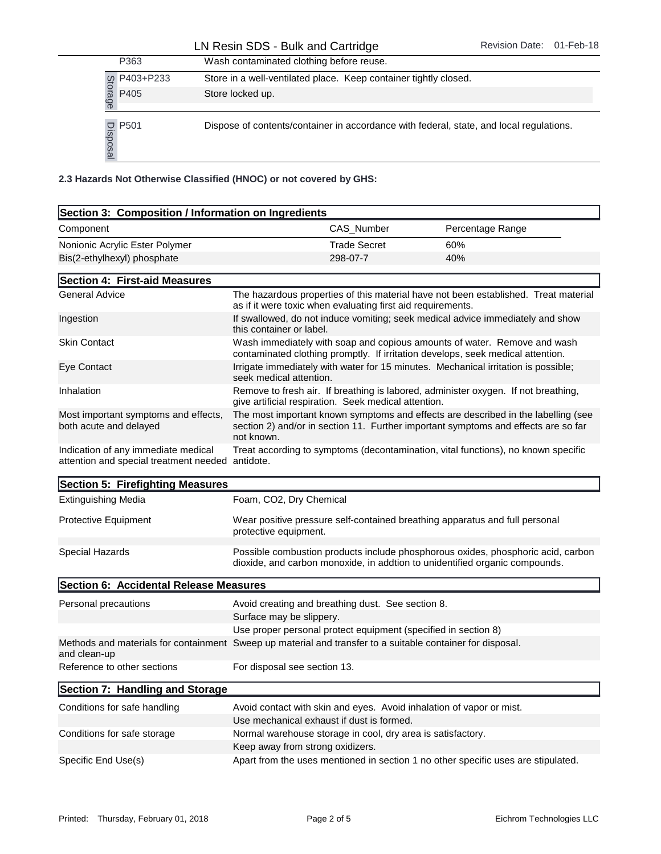## LN Resin SDS - Bulk and Cartridge Revision Date: 01-Feb-18

|           | P363                           | Wash contaminated clothing before reuse.                           |                     |                                                                                         |  |
|-----------|--------------------------------|--------------------------------------------------------------------|---------------------|-----------------------------------------------------------------------------------------|--|
|           | P403+P233                      | Store in a well-ventilated place. Keep container tightly closed.   |                     |                                                                                         |  |
|           | Storage<br>P405                | Store locked up.                                                   |                     |                                                                                         |  |
|           | $\frac{10}{30}$ P501<br>ற      |                                                                    |                     | Dispose of contents/container in accordance with federal, state, and local regulations. |  |
|           |                                | 2.3 Hazards Not Otherwise Classified (HNOC) or not covered by GHS: |                     |                                                                                         |  |
|           |                                | Section 3: Composition / Information on Ingredients                |                     |                                                                                         |  |
| Component |                                |                                                                    | CAS Number          | Percentage Range                                                                        |  |
|           | Nonionic Acrylic Ester Polymer |                                                                    | <b>Trade Secret</b> | 60%                                                                                     |  |
|           | Bis(2-ethylhexyl) phosphate    |                                                                    | 298-07-7            | 40%                                                                                     |  |

| Section 3: Composition / Information on Ingredients                                                                        |                                                                                                 |                     |                                                                                                                                                                         |
|----------------------------------------------------------------------------------------------------------------------------|-------------------------------------------------------------------------------------------------|---------------------|-------------------------------------------------------------------------------------------------------------------------------------------------------------------------|
| Component                                                                                                                  |                                                                                                 | CAS_Number          | Percentage Range                                                                                                                                                        |
| Nonionic Acrylic Ester Polymer                                                                                             |                                                                                                 | <b>Trade Secret</b> | 60%                                                                                                                                                                     |
| Bis(2-ethylhexyl) phosphate                                                                                                |                                                                                                 | 298-07-7            | 40%                                                                                                                                                                     |
| Section 4: First-aid Measures                                                                                              |                                                                                                 |                     |                                                                                                                                                                         |
| <b>General Advice</b>                                                                                                      | as if it were toxic when evaluating first aid requirements.                                     |                     | The hazardous properties of this material have not been established. Treat material                                                                                     |
| Ingestion                                                                                                                  | this container or label.                                                                        |                     | If swallowed, do not induce vomiting; seek medical advice immediately and show                                                                                          |
| <b>Skin Contact</b>                                                                                                        |                                                                                                 |                     | Wash immediately with soap and copious amounts of water. Remove and wash<br>contaminated clothing promptly. If irritation develops, seek medical attention.             |
| Eye Contact                                                                                                                | seek medical attention.                                                                         |                     | Irrigate immediately with water for 15 minutes. Mechanical irritation is possible;                                                                                      |
| Inhalation                                                                                                                 | give artificial respiration. Seek medical attention.                                            |                     | Remove to fresh air. If breathing is labored, administer oxygen. If not breathing,                                                                                      |
| Most important symptoms and effects,<br>both acute and delayed                                                             | not known.                                                                                      |                     | The most important known symptoms and effects are described in the labelling (see<br>section 2) and/or in section 11. Further important symptoms and effects are so far |
| Indication of any immediate medical<br>attention and special treatment needed antidote.                                    |                                                                                                 |                     | Treat according to symptoms (decontamination, vital functions), no known specific                                                                                       |
| Section 5: Firefighting Measures                                                                                           |                                                                                                 |                     |                                                                                                                                                                         |
| <b>Extinguishing Media</b>                                                                                                 | Foam, CO2, Dry Chemical                                                                         |                     |                                                                                                                                                                         |
| Protective Equipment                                                                                                       | protective equipment.                                                                           |                     | Wear positive pressure self-contained breathing apparatus and full personal                                                                                             |
| Special Hazards                                                                                                            |                                                                                                 |                     | Possible combustion products include phosphorous oxides, phosphoric acid, carbon<br>dioxide, and carbon monoxide, in addtion to unidentified organic compounds.         |
| Section 6: Accidental Release Measures                                                                                     |                                                                                                 |                     |                                                                                                                                                                         |
| Personal precautions                                                                                                       | Avoid creating and breathing dust. See section 8.<br>Surface may be slippery.                   |                     |                                                                                                                                                                         |
|                                                                                                                            |                                                                                                 |                     | Use proper personal protect equipment (specified in section 8)                                                                                                          |
| Methods and materials for containment Sweep up material and transfer to a suitable container for disposal.<br>and clean-up |                                                                                                 |                     |                                                                                                                                                                         |
| Reference to other sections                                                                                                | For disposal see section 13.                                                                    |                     |                                                                                                                                                                         |
| Section 7: Handling and Storage                                                                                            |                                                                                                 |                     |                                                                                                                                                                         |
| Conditions for safe handling                                                                                               |                                                                                                 |                     | Avoid contact with skin and eyes. Avoid inhalation of vapor or mist.                                                                                                    |
|                                                                                                                            | Use mechanical exhaust if dust is formed.                                                       |                     |                                                                                                                                                                         |
| Conditions for safe storage                                                                                                | Normal warehouse storage in cool, dry area is satisfactory.<br>Keep away from strong oxidizers. |                     |                                                                                                                                                                         |
| Specific End Use(s)                                                                                                        |                                                                                                 |                     | Apart from the uses mentioned in section 1 no other specific uses are stipulated.                                                                                       |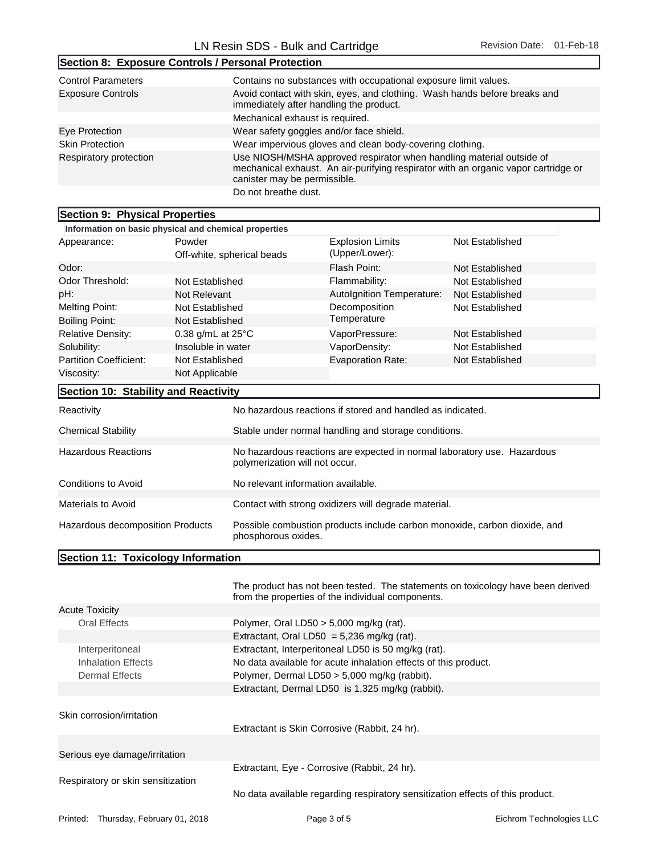| Section 8: Exposure Controls / Personal Protection |                                                                                                                                                                                            |
|----------------------------------------------------|--------------------------------------------------------------------------------------------------------------------------------------------------------------------------------------------|
| <b>Control Parameters</b>                          | Contains no substances with occupational exposure limit values.                                                                                                                            |
| <b>Exposure Controls</b>                           | Avoid contact with skin, eyes, and clothing. Wash hands before breaks and<br>immediately after handling the product.                                                                       |
|                                                    | Mechanical exhaust is required.                                                                                                                                                            |
| Eye Protection                                     | Wear safety goggles and/or face shield.                                                                                                                                                    |
| <b>Skin Protection</b>                             | Wear impervious gloves and clean body-covering clothing.                                                                                                                                   |
| Respiratory protection                             | Use NIOSH/MSHA approved respirator when handling material outside of<br>mechanical exhaust. An air-purifying respirator with an organic vapor cartridge or<br>canister may be permissible. |
|                                                    | Do not breathe dust.                                                                                                                                                                       |

## Section 9: Physical Properties

| Information on basic physical and chemical properties        |                    |                                                                         |                                                                           |                 |  |
|--------------------------------------------------------------|--------------------|-------------------------------------------------------------------------|---------------------------------------------------------------------------|-----------------|--|
| Appearance:                                                  | Powder             | Off-white, spherical beads                                              | <b>Explosion Limits</b><br>(Upper/Lower):                                 | Not Established |  |
| Odor:                                                        |                    |                                                                         | Flash Point:                                                              | Not Established |  |
| Odor Threshold:                                              | Not Established    |                                                                         | Flammability:                                                             | Not Established |  |
| pH:                                                          | Not Relevant       |                                                                         | Autolgnition Temperature:                                                 | Not Established |  |
| <b>Melting Point:</b>                                        | Not Established    |                                                                         | Decomposition                                                             | Not Established |  |
| <b>Boiling Point:</b>                                        | Not Established    |                                                                         | Temperature                                                               |                 |  |
| <b>Relative Density:</b>                                     | 0.38 g/mL at 25°C  |                                                                         | VaporPressure:                                                            | Not Established |  |
| Solubility:                                                  | Insoluble in water |                                                                         | VaporDensity:                                                             | Not Established |  |
| <b>Partition Coefficient:</b>                                | Not Established    |                                                                         | <b>Evaporation Rate:</b>                                                  | Not Established |  |
| Viscosity:                                                   | Not Applicable     |                                                                         |                                                                           |                 |  |
| Section 10: Stability and Reactivity                         |                    |                                                                         |                                                                           |                 |  |
| Reactivity                                                   |                    |                                                                         | No hazardous reactions if stored and handled as indicated.                |                 |  |
| <b>Chemical Stability</b>                                    |                    |                                                                         | Stable under normal handling and storage conditions.                      |                 |  |
| <b>Hazardous Reactions</b><br>polymerization will not occur. |                    | No hazardous reactions are expected in normal laboratory use. Hazardous |                                                                           |                 |  |
| Conditions to Avoid                                          |                    | No relevant information available.                                      |                                                                           |                 |  |
| <b>Materials to Avoid</b>                                    |                    |                                                                         | Contact with strong oxidizers will degrade material.                      |                 |  |
| Hazardous decomposition Products                             |                    | phosphorous oxides.                                                     | Possible combustion products include carbon monoxide, carbon dioxide, and |                 |  |

## Section 11: Toxicology Information

|                                                                                | The product has not been tested. The statements on toxicology have been derived<br>from the properties of the individual components.                                   |                          |
|--------------------------------------------------------------------------------|------------------------------------------------------------------------------------------------------------------------------------------------------------------------|--------------------------|
| <b>Acute Toxicity</b>                                                          |                                                                                                                                                                        |                          |
| <b>Oral Effects</b>                                                            | Polymer, Oral LD50 $>$ 5,000 mg/kg (rat).                                                                                                                              |                          |
|                                                                                | Extractant, Oral LD50 = $5,236$ mg/kg (rat).                                                                                                                           |                          |
| Interperitoneal<br>Inhalation Effects<br>Dermal Effects                        | Extractant, Interperitoneal LD50 is 50 mg/kg (rat).<br>No data available for acute inhalation effects of this product.<br>Polymer, Dermal LD50 > 5,000 mg/kg (rabbit). |                          |
|                                                                                | Extractant, Dermal LD50 is 1,325 mg/kg (rabbit).                                                                                                                       |                          |
| Skin corrosion/irritation                                                      | Extractant is Skin Corrosive (Rabbit, 24 hr).                                                                                                                          |                          |
| Serious eye damage/irritation                                                  |                                                                                                                                                                        |                          |
| Respiratory or skin sensitization                                              | Extractant, Eye - Corrosive (Rabbit, 24 hr).                                                                                                                           |                          |
| No data available regarding respiratory sensitization effects of this product. |                                                                                                                                                                        |                          |
| Printed: Thursday, February 01, 2018                                           | Page 3 of 5                                                                                                                                                            | Eichrom Technologies LLC |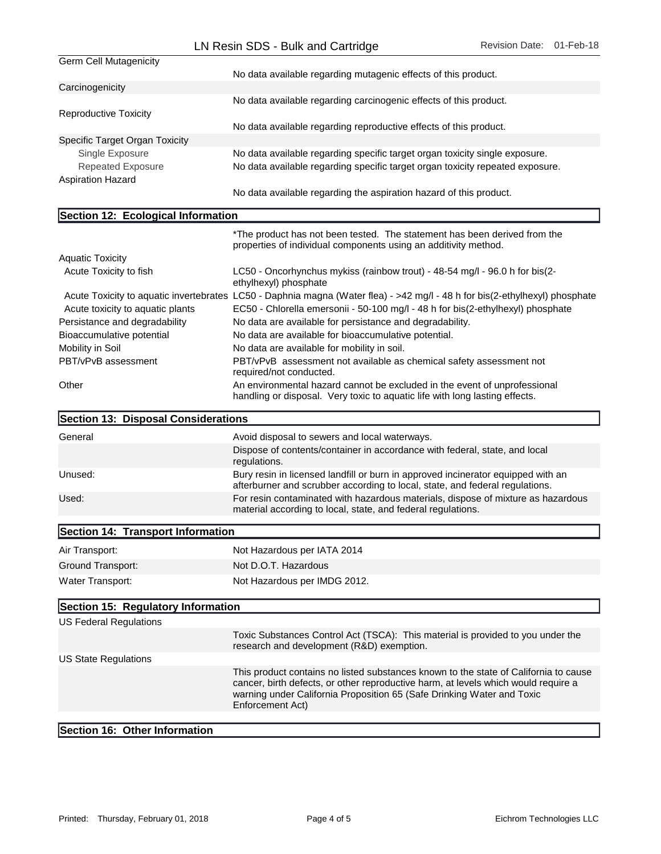|                                               | LIV RESIH ODO - DUIK AHU GAHHUYE                                                                                                                                                                                                                                         |  |
|-----------------------------------------------|--------------------------------------------------------------------------------------------------------------------------------------------------------------------------------------------------------------------------------------------------------------------------|--|
| <b>Germ Cell Mutagenicity</b>                 | No data available regarding mutagenic effects of this product.                                                                                                                                                                                                           |  |
| Carcinogenicity                               |                                                                                                                                                                                                                                                                          |  |
| <b>Reproductive Toxicity</b>                  | No data available regarding carcinogenic effects of this product.                                                                                                                                                                                                        |  |
|                                               | No data available regarding reproductive effects of this product.                                                                                                                                                                                                        |  |
| Specific Target Organ Toxicity                |                                                                                                                                                                                                                                                                          |  |
| Single Exposure                               | No data available regarding specific target organ toxicity single exposure.                                                                                                                                                                                              |  |
| <b>Repeated Exposure</b>                      | No data available regarding specific target organ toxicity repeated exposure.                                                                                                                                                                                            |  |
| <b>Aspiration Hazard</b>                      |                                                                                                                                                                                                                                                                          |  |
|                                               | No data available regarding the aspiration hazard of this product.                                                                                                                                                                                                       |  |
| Section 12: Ecological Information            |                                                                                                                                                                                                                                                                          |  |
|                                               | *The product has not been tested. The statement has been derived from the<br>properties of individual components using an additivity method.                                                                                                                             |  |
| <b>Aquatic Toxicity</b>                       |                                                                                                                                                                                                                                                                          |  |
| Acute Toxicity to fish                        | LC50 - Oncorhynchus mykiss (rainbow trout) - 48-54 mg/l - 96.0 h for bis(2-<br>ethylhexyl) phosphate                                                                                                                                                                     |  |
|                                               | Acute Toxicity to aquatic invertebrates LC50 - Daphnia magna (Water flea) - >42 mg/l - 48 h for bis(2-ethylhexyl) phosphate                                                                                                                                              |  |
| Acute toxicity to aquatic plants              | EC50 - Chlorella emersonii - 50-100 mg/l - 48 h for bis(2-ethylhexyl) phosphate                                                                                                                                                                                          |  |
| Persistance and degradability                 | No data are available for persistance and degradability.                                                                                                                                                                                                                 |  |
| Bioaccumulative potential<br>Mobility in Soil | No data are available for bioaccumulative potential.<br>No data are available for mobility in soil.                                                                                                                                                                      |  |
| PBT/vPvB assessment                           | PBT/vPvB assessment not available as chemical safety assessment not                                                                                                                                                                                                      |  |
|                                               | required/not conducted.                                                                                                                                                                                                                                                  |  |
| Other                                         | An environmental hazard cannot be excluded in the event of unprofessional<br>handling or disposal. Very toxic to aquatic life with long lasting effects.                                                                                                                 |  |
| Section 13: Disposal Considerations           |                                                                                                                                                                                                                                                                          |  |
| General                                       | Avoid disposal to sewers and local waterways.                                                                                                                                                                                                                            |  |
|                                               | Dispose of contents/container in accordance with federal, state, and local<br>regulations.                                                                                                                                                                               |  |
| Unused:                                       | Bury resin in licensed landfill or burn in approved incinerator equipped with an<br>afterburner and scrubber according to local, state, and federal regulations.                                                                                                         |  |
| Used:                                         | For resin contaminated with hazardous materials, dispose of mixture as hazardous<br>material according to local, state, and federal regulations.                                                                                                                         |  |
| Section 14: Transport Information             |                                                                                                                                                                                                                                                                          |  |
|                                               |                                                                                                                                                                                                                                                                          |  |
| Air Transport:                                | Not Hazardous per IATA 2014                                                                                                                                                                                                                                              |  |
| Ground Transport:                             | Not D.O.T. Hazardous                                                                                                                                                                                                                                                     |  |
| Water Transport:                              | Not Hazardous per IMDG 2012.                                                                                                                                                                                                                                             |  |
| Section 15: Regulatory Information            |                                                                                                                                                                                                                                                                          |  |
| <b>US Federal Regulations</b>                 |                                                                                                                                                                                                                                                                          |  |
|                                               | Toxic Substances Control Act (TSCA): This material is provided to you under the<br>research and development (R&D) exemption.                                                                                                                                             |  |
| <b>US State Regulations</b>                   |                                                                                                                                                                                                                                                                          |  |
|                                               | This product contains no listed substances known to the state of California to cause<br>cancer, birth defects, or other reproductive harm, at levels which would require a<br>warning under California Proposition 65 (Safe Drinking Water and Toxic<br>Enforcement Act) |  |
| Section 16: Other Information                 |                                                                                                                                                                                                                                                                          |  |